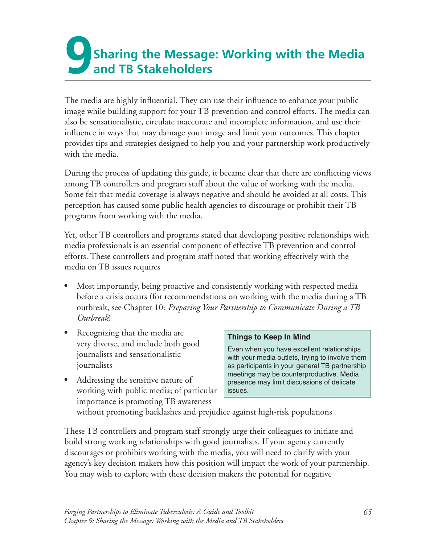## **9 Sharing the Message: Working with the Media and TB Stakeholders**

The media are highly influential. They can use their influence to enhance your public image while building support for your TB prevention and control efforts. The media can also be sensationalistic, circulate inaccurate and incomplete information, and use their influence in ways that may damage your image and limit your outcomes. This chapter provides tips and strategies designed to help you and your partnership work productively with the media.

During the process of updating this guide, it became clear that there are conflicting views among TB controllers and program staff about the value of working with the media. Some felt that media coverage is always negative and should be avoided at all costs. This perception has caused some public health agencies to discourage or prohibit their TB programs from working with the media.

Yet, other TB controllers and programs stated that developing positive relationships with media professionals is an essential component of effective TB prevention and control efforts. These controllers and program staff noted that working effectively with the media on TB issues requires

- Most importantly, being proactive and consistently working with respected media before a crisis occurs (for recommendations on working with the media during a TB outbreak, see Chapter 10: *Preparing Your Partnership to Communicate During a TB Outbreak*)
- Recognizing that the media are<br>very diverse, and include both good<br>journalists and sensationalistic<br>journalists<br>journalists<br>in your media outlets, trying to involve them<br>as participants in your general TB partnership
- Addressing the sensitive nature of presence may limit discussions of delicate working with public media; of particular  $\vert$  issues. importance is promoting TB awareness

as participants in your general TB partnership meetings may be counterproductive. Media

without promoting backlashes and prejudice against high-risk populations

These TB controllers and program staff strongly urge their colleagues to initiate and build strong working relationships with good journalists. If your agency currently discourages or prohibits working with the media, you will need to clarify with your agency's key decision makers how this position will impact the work of your partnership. You may wish to explore with these decision makers the potential for negative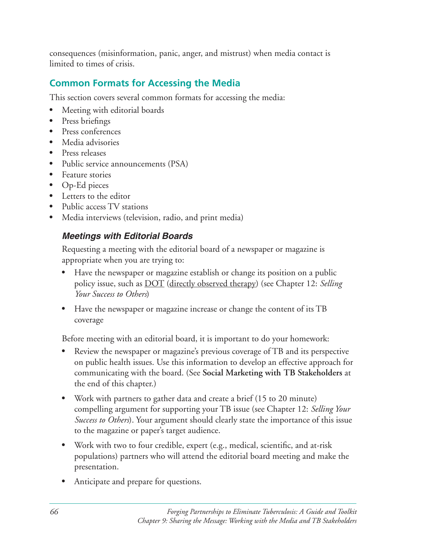consequences (misinformation, panic, anger, and mistrust) when media contact is limited to times of crisis.

### **Common Formats for Accessing the Media**

This section covers several common formats for accessing the media:

- Meeting with editorial boards
- Press briefings
- Press conferences
- Media advisories
- Press releases
- Public service announcements (PSA)
- Feature stories
- Op-Ed pieces
- Letters to the editor
- Public access TV stations
- Media interviews (television, radio, and print media)

### *Meetings with Editorial Boards*

Requesting a meeting with the editorial board of a newspaper or magazine is appropriate when you are trying to:

- Have the newspaper or magazine establish or change its position on a public policy issue, such as <u>DOT</u> (directly observed therapy) (see Chapter 12: *Selling Your Success to Others*)
- Have the newspaper or magazine increase or change the content of its TB coverage

Before meeting with an editorial board, it is important to do your homework:

- Review the newspaper or magazine's previous coverage of TB and its perspective on public health issues. Use this information to develop an effective approach for communicating with the board. (See Social Marketing with TB Stakeholders at the end of this chapter.)
- Work with partners to gather data and create a brief (15 to 20 minute) compelling argument for supporting your TB issue (see Chapter 12: *Selling Your Success to Others*). Your argument should clearly state the importance of this issue to the magazine or paper's target audience.
- Work with two to four credible, expert (e.g., medical, scientific, and at-risk populations) partners who will attend the editorial board meeting and make the presentation.
- Anticipate and prepare for questions.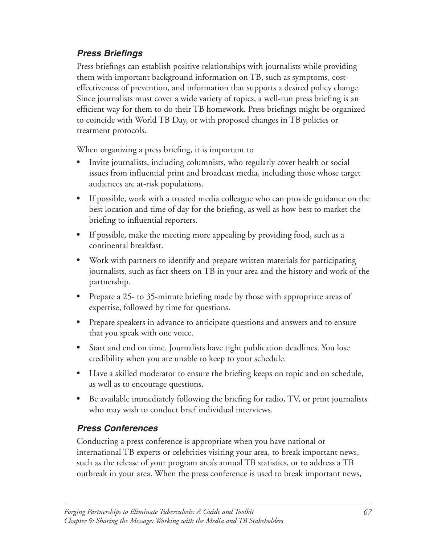### *Press Briefings*

Press briefings can establish positive relationships with journalists while providing them with important background information on TB, such as symptoms, costeffectiveness of prevention, and information that supports a desired policy change. Since journalists must cover a wide variety of topics, a well-run press briefing is an efficient way for them to do their TB homework. Press briefings might be organized to coincide with World TB Day, or with proposed changes in TB policies or treatment protocols.

When organizing a press briefing, it is important to

- Invite journalists, including columnists, who regularly cover health or social issues from influential print and broadcast media, including those whose target audiences are at-risk populations.
- If possible, work with a trusted media colleague who can provide guidance on the best location and time of day for the briefing, as well as how best to market the briefing to influential reporters.
- If possible, make the meeting more appealing by providing food, such as a continental breakfast.
- Work with partners to identify and prepare written materials for participating journalists, such as fact sheets on TB in your area and the history and work of the partnership.
- Prepare a 25- to 35-minute briefing made by those with appropriate areas of expertise, followed by time for questions.
- Prepare speakers in advance to anticipate questions and answers and to ensure that you speak with one voice.
- Start and end on time. Journalists have tight publication deadlines. You lose credibility when you are unable to keep to your schedule.
- Have a skilled moderator to ensure the briefing keeps on topic and on schedule, as well as to encourage questions.
- Be available immediately following the briefing for radio, TV, or print journalists who may wish to conduct brief individual interviews.

### *Press Conferences*

Conducting a press conference is appropriate when you have national or international TB experts or celebrities visiting your area, to break important news, such as the release of your program area's annual TB statistics, or to address a TB outbreak in your area. When the press conference is used to break important news,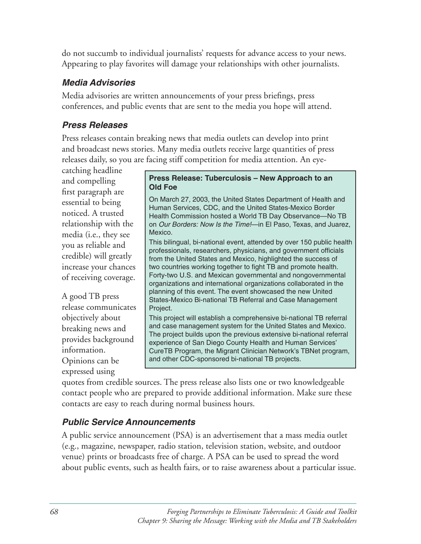do not succumb to individual journalists' requests for advance access to your news. Appearing to play favorites will damage your relationships with other journalists.

### *Media Advisories*

Media advisories are written announcements of your press briefings, press conferences, and public events that are sent to the media you hope will attend.

### *Press Releases*

Press releases contain breaking news that media outlets can develop into print and broadcast news stories. Many media outlets receive large quantities of press releases daily, so you are facing stiff competition for media attention. An eye-

catching headline

release communicates Project. expressed using

# **Press Release: Tuberculosis – New Approach to an**<br>first paragraph are **Old Foe**<br>**On March 27, 2003, the United States Department of Health and**

essential to being and the March 27, 2003, the United States Department of Health and Human Services, CDC, and the United States-Mexico Border noticed. A trusted a Health Commission hosted a World TB Day Observance—No TB relationship with the  $\parallel$  on *Our Borders: Now Is the Time!*—in El Paso, Texas, and Juarez, media (i.e., they see Rexico.<br>This bilingual, bi-national event, attended by over 150 public health

you as reliable and<br>credible) will greatly<br>increase your chances<br>increase your chances<br>wore countries working together to fight TB and promote health. two countries working together to fight TB and promote health.<br>Forty-two U.S. and Mexican governmental and nongovernmental of receiving coverage. Forty-two U.S. and Mexican governmental and nongovernmental<br>organizations and international organizations collaborated in the A good TB press planning of this event. The event showcased the new United<br>States-Mexico Bi-national TB Referral and Case Management

objectively about This project will establish a comprehensive bi-national TB referral<br>
and case management system for the United States and Mexico. breaking news and<br>
The project builds upon the previous extensive bi-national referral<br>
information.<br>
CureTB Program the Migrant Clinician Network's TBNet program CureTB Program, the Migrant Clinician Network's TBNet program, Opinions can be and other CDC-sponsored bi-national TB projects.

quotes from credible sources. The press release also lists one or two knowledgeable contact people who are prepared to provide additional information. Make sure these contacts are easy to reach during normal business hours.

## *Public Service Announcements*

A public service announcement (PSA) is an advertisement that a mass media outlet (e.g., magazine, newspaper, radio station, television station, website, and outdoor venue) prints or broadcasts free of charge. A PSA can be used to spread the word about public events, such as health fairs, or to raise awareness about a particular issue.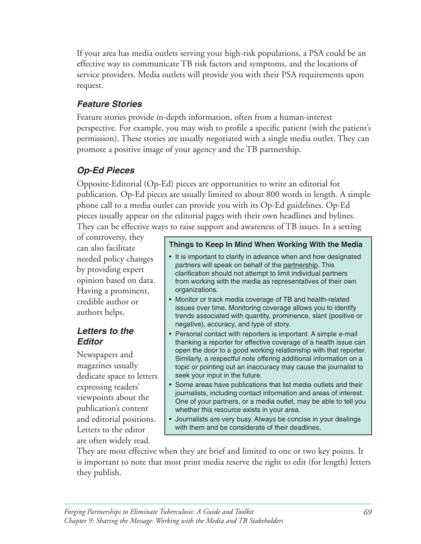If your area has media outlets serving your high-risk populations, a PSA could be an effective way to communicate TB risk factors and symptoms, and the locations of service providers. Media outlets will provide you with their PSA requirements upon request. 

### *Feature Stories*

Feature stories provide in-depth information, often from a human-interest perspective. For example, you may wish to profile a specific patient (with the patient's permission). These stories are usually negotiated with a single media outlet. They can promote a positive image of your agency and the TB partnership.

### *Op-Ed Pieces*

Opposite-Editorial (Op-Ed) pieces are opportunities to write an editorial for publication. Op-Ed pieces are usually limited to about 800 words in length. A simple phone call to a media outlet can provide you with its Op-Ed guidelines. Op-Ed pieces usually appear on the editorial pages with their own headlines and bylines. They can be effective ways to raise support and awareness of TB issues. In a setting

Having a prominent,  $\vert$  organizations.

are often widely read.

## of controversy, they **Things to Keep In Mind When Working With the Media**  $\overline{\text{can also facilitate}}$

- needed policy changes  $\cdot$  It is important to clarify in advance when and how designated<br>partners will speak on behalf of the partnership. This by providing expert<br>
opinion based on data.  $\begin{array}{r} \text{parameters with special of the parametersing. This  
from working with the media as representatives of their o$ from working with the media as representatives of their own
- example author or **value of TB** and health-related issues over time. Monitoring coverage allows you to identify authors helps. The interest allows you to identify authors helps. negative), accuracy, and type of story.
- **Letters to the •** Personal contact with reporters is important. A simple e-mail **Editor thanking a reporter for effective coverage of a health issue can** Newspapers and open the door to a good working relationship with that reporter.<br>
Similarly, a respectful note offering additional information on a<br>
topic or pointing out an inaccuracy may cause the iournalist to topic or pointing out an inaccuracy may cause the journalist to
- dedicate space to letters seek your input in the future.<br>expressing readers' <br>Some areas have publications that list media outlets and their expressing readers'<br>
viewpoints about the publications of interest.<br>
publication's content<br>
publication's content<br>
publication's content<br>
publication's content<br>
publication's content<br>
publication's content<br>
publications of whether this resource exists in your area.
- and editorial positions.  $\vert \cdot \vert$  Journalists are very busy. Always be concise in your dealings Letters to the editor with them and be considerate of their deadlines.

They are most effective when they are brief and limited to one or two key points. It is important to note that most print media reserve the right to edit (for length) letters they publish.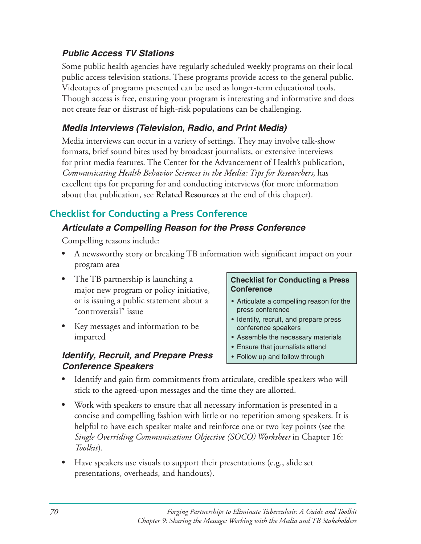### *Public Access TV Stations*

Some public health agencies have regularly scheduled weekly programs on their local public access television stations. These programs provide access to the general public. Videotapes of programs presented can be used as longer-term educational tools. Though access is free, ensuring your program is interesting and informative and does not create fear or distrust of high-risk populations can be challenging.

### *Media Interviews (Television, Radio, and Print Media)*

Media interviews can occur in a variety of settings. They may involve talk-show formats, brief sound bites used by broadcast journalists, or extensive interviews for print media features. The Center for the Advancement of Health's publication, *Communicating Health Behavior Sciences in the Media: Tips for Researchers,* has excellent tips for preparing for and conducting interviews (for more information about that publication, see **Related Resources** at the end of this chapter).

### **Checklist for Conducting a Press Conference**

### *Articulate a Compelling Reason for the Press Conference*

Compelling reasons include:

- A newsworthy story or breaking TB information with significant impact on your program area
- The TB partnership is launching a **Checklist for Conducting a Press** major new program or policy initiative, **Conference** or is issuing a public statement about a  $\cdot$  Articulate a compelling reason for the "controversial" issue example and the press conference
- Key messages and information to be conference speakers imparted **• Assemble the necessary materials**

### *Identify, Recruit, and Prepare Press*  $\cdot$  Follow up and follow through *Conference Speakers*

- 
- Identify, recruit, and prepare press
- 
- Ensure that journalists attend
- 
- Identify and gain firm commitments from articulate, credible speakers who will stick to the agreed-upon messages and the time they are allotted.
- Work with speakers to ensure that all necessary information is presented in a concise and compelling fashion with little or no repetition among speakers. It is helpful to have each speaker make and reinforce one or two key points (see the *Single Overriding Communications Objective (SOCO) Worksheet* in Chapter 16: *Toolkit*).
- Have speakers use visuals to support their presentations (e.g., slide set presentations, overheads, and handouts).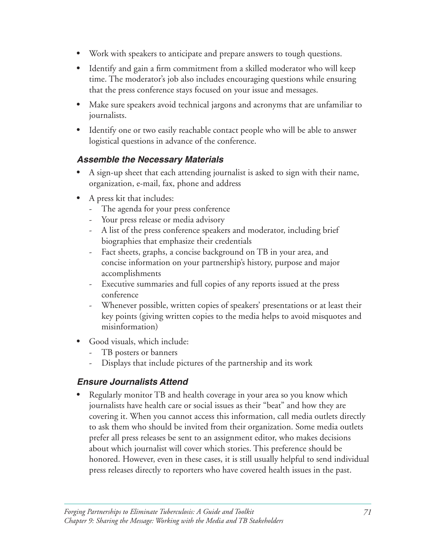- Work with speakers to anticipate and prepare answers to tough questions.
- Identify and gain a firm commitment from a skilled moderator who will keep time. The moderator's job also includes encouraging questions while ensuring that the press conference stays focused on your issue and messages.
- Make sure speakers avoid technical jargons and acronyms that are unfamiliar to journalists.
- Identify one or two easily reachable contact people who will be able to answer logistical questions in advance of the conference.

### *Assemble the Necessary Materials*

- A sign-up sheet that each attending journalist is asked to sign with their name, organization, e-mail, fax, phone and address
- A press kit that includes:
	- The agenda for your press conference
	- Your press release or media advisory
	- A list of the press conference speakers and moderator, including brief biographies that emphasize their credentials
	- Fact sheets, graphs, a concise background on TB in your area, and concise information on your partnership's history, purpose and major accomplishments
	- Executive summaries and full copies of any reports issued at the press conference
	- Whenever possible, written copies of speakers' presentations or at least their key points (giving written copies to the media helps to avoid misquotes and misinformation)
- Good visuals, which include:
	- TB posters or banners
	- Displays that include pictures of the partnership and its work

### *Ensure Journalists Attend*

Regularly monitor TB and health coverage in your area so you know which journalists have health care or social issues as their "beat" and how they are covering it. When you cannot access this information, call media outlets directly to ask them who should be invited from their organization. Some media outlets prefer all press releases be sent to an assignment editor, who makes decisions about which journalist will cover which stories. This preference should be honored. However, even in these cases, it is still usually helpful to send individual press releases directly to reporters who have covered health issues in the past.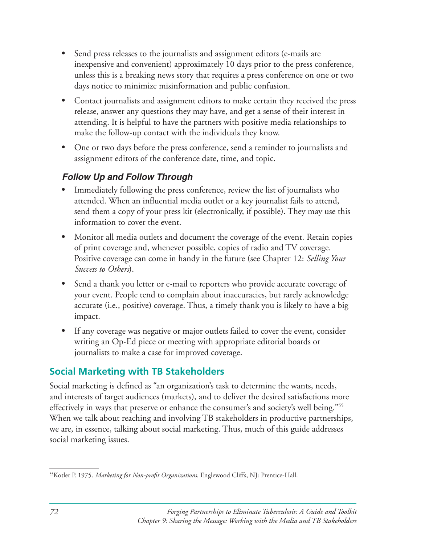- Send press releases to the journalists and assignment editors (e-mails are inexpensive and convenient) approximately 10 days prior to the press conference, unless this is a breaking news story that requires a press conference on one or two days notice to minimize misinformation and public confusion.
- Contact journalists and assignment editors to make certain they received the press release, answer any questions they may have, and get a sense of their interest in attending. It is helpful to have the partners with positive media relationships to make the follow-up contact with the individuals they know.
- One or two days before the press conference, send a reminder to journalists and assignment editors of the conference date, time, and topic.

### *Follow Up and Follow Through*

- Immediately following the press conference, review the list of journalists who attended. When an influential media outlet or a key journalist fails to attend, send them a copy of your press kit (electronically, if possible). They may use this information to cover the event.
- Monitor all media outlets and document the coverage of the event. Retain copies of print coverage and, whenever possible, copies of radio and TV coverage. Positive coverage can come in handy in the future (see Chapter 12: *Selling Your Success to Others*).
- Send a thank you letter or e-mail to reporters who provide accurate coverage of your event. People tend to complain about inaccuracies, but rarely acknowledge accurate (i.e., positive) coverage. Thus, a timely thank you is likely to have a big impact.
- If any coverage was negative or major outlets failed to cover the event, consider writing an Op-Ed piece or meeting with appropriate editorial boards or journalists to make a case for improved coverage.

### **Social Marketing with TB Stakeholders**

Social marketing is defined as "an organization's task to determine the wants, needs, and interests of target audiences (markets), and to deliver the desired satisfactions more effectively in ways that preserve or enhance the consumer's and society's well being."<sup>55</sup> When we talk about reaching and involving TB stakeholders in productive partnerships, we are, in essence, talking about social marketing. Thus, much of this guide addresses social marketing issues.

<sup>&</sup>lt;sup>55</sup>Kotler P. 1975. Marketing for Non-profit Organizations. Englewood Cliffs, NJ: Prentice-Hall.